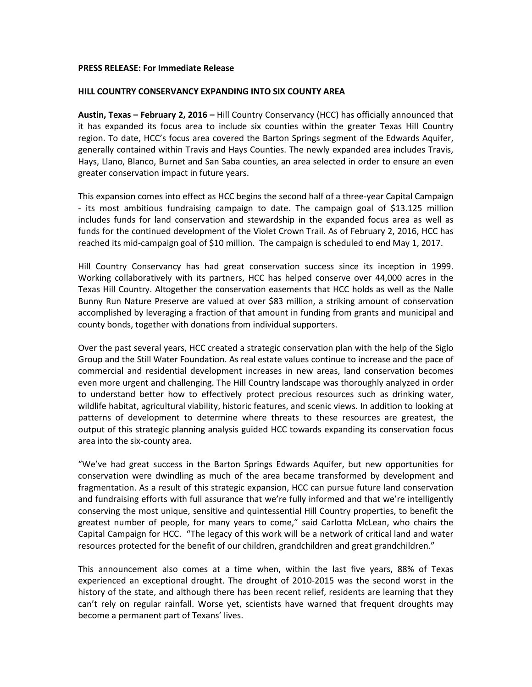## **PRESS RELEASE: For Immediate Release**

## **HILL COUNTRY CONSERVANCY EXPANDING INTO SIX COUNTY AREA**

**Austin, Texas – February 2, 2016 –** Hill Country Conservancy (HCC) has officially announced that it has expanded its focus area to include six counties within the greater Texas Hill Country region. To date, HCC's focus area covered the Barton Springs segment of the Edwards Aquifer, generally contained within Travis and Hays Counties. The newly expanded area includes Travis, Hays, Llano, Blanco, Burnet and San Saba counties, an area selected in order to ensure an even greater conservation impact in future years.

This expansion comes into effect as HCC begins the second half of a three-year Capital Campaign - its most ambitious fundraising campaign to date. The campaign goal of \$13.125 million includes funds for land conservation and stewardship in the expanded focus area as well as funds for the continued development of the Violet Crown Trail. As of February 2, 2016, HCC has reached its mid-campaign goal of \$10 million. The campaign is scheduled to end May 1, 2017.

Hill Country Conservancy has had great conservation success since its inception in 1999. Working collaboratively with its partners, HCC has helped conserve over 44,000 acres in the Texas Hill Country. Altogether the conservation easements that HCC holds as well as the Nalle Bunny Run Nature Preserve are valued at over \$83 million, a striking amount of conservation accomplished by leveraging a fraction of that amount in funding from grants and municipal and county bonds, together with donations from individual supporters.

Over the past several years, HCC created a strategic conservation plan with the help of the Siglo Group and the Still Water Foundation. As real estate values continue to increase and the pace of commercial and residential development increases in new areas, land conservation becomes even more urgent and challenging. The Hill Country landscape was thoroughly analyzed in order to understand better how to effectively protect precious resources such as drinking water, wildlife habitat, agricultural viability, historic features, and scenic views. In addition to looking at patterns of development to determine where threats to these resources are greatest, the output of this strategic planning analysis guided HCC towards expanding its conservation focus area into the six-county area.

"We've had great success in the Barton Springs Edwards Aquifer, but new opportunities for conservation were dwindling as much of the area became transformed by development and fragmentation. As a result of this strategic expansion, HCC can pursue future land conservation and fundraising efforts with full assurance that we're fully informed and that we're intelligently conserving the most unique, sensitive and quintessential Hill Country properties, to benefit the greatest number of people, for many years to come," said Carlotta McLean, who chairs the Capital Campaign for HCC. "The legacy of this work will be a network of critical land and water resources protected for the benefit of our children, grandchildren and great grandchildren."

This announcement also comes at a time when, within the last five years, 88% of Texas experienced an exceptional drought. The drought of 2010-2015 was the second worst in the history of the state, and although there has been recent relief, residents are learning that they can't rely on regular rainfall. Worse yet, scientists have warned that frequent droughts may become a permanent part of Texans' lives.